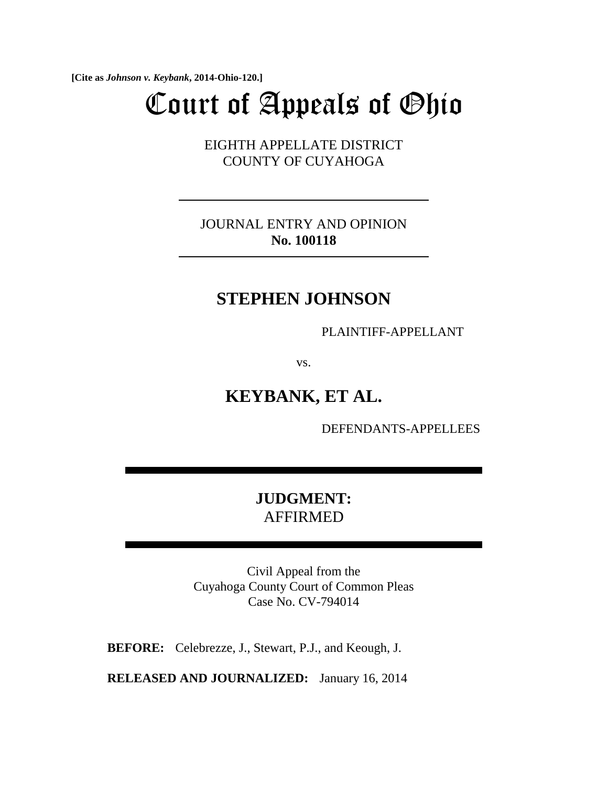**[Cite as** *Johnson v. Keybank***, 2014-Ohio-120.]**

# Court of Appeals of Ohio

EIGHTH APPELLATE DISTRICT COUNTY OF CUYAHOGA

JOURNAL ENTRY AND OPINION **No. 100118**

# **STEPHEN JOHNSON**

PLAINTIFF-APPELLANT

vs.

# **KEYBANK, ET AL.**

DEFENDANTS-APPELLEES

# **JUDGMENT:**  AFFIRMED

Civil Appeal from the Cuyahoga County Court of Common Pleas Case No. CV-794014

**BEFORE:** Celebrezze, J., Stewart, P.J., and Keough, J.

**RELEASED AND JOURNALIZED:** January 16, 2014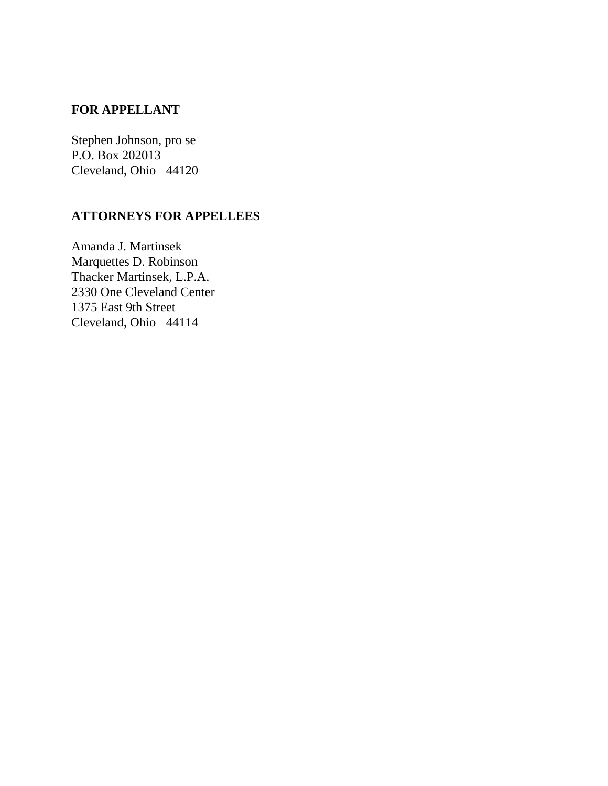## **FOR APPELLANT**

Stephen Johnson, pro se P.O. Box 202013 Cleveland, Ohio 44120

## **ATTORNEYS FOR APPELLEES**

Amanda J. Martinsek Marquettes D. Robinson Thacker Martinsek, L.P.A. 2330 One Cleveland Center 1375 East 9th Street Cleveland, Ohio 44114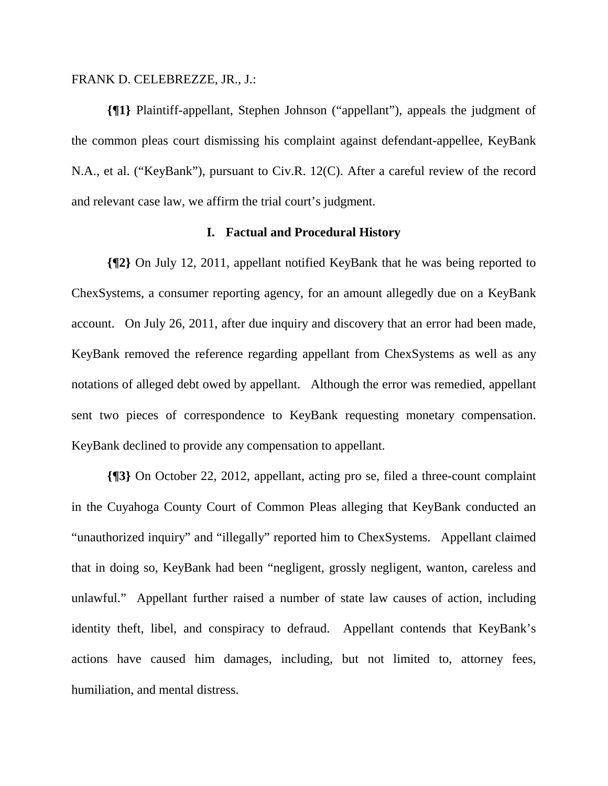## FRANK D. CELEBREZZE, JR., J.:

**{¶1}** Plaintiff-appellant, Stephen Johnson ("appellant"), appeals the judgment of the common pleas court dismissing his complaint against defendant-appellee, KeyBank N.A., et al. ("KeyBank"), pursuant to Civ.R. 12(C). After a careful review of the record and relevant case law, we affirm the trial court's judgment.

#### **I. Factual and Procedural History**

**{¶2}** On July 12, 2011, appellant notified KeyBank that he was being reported to ChexSystems, a consumer reporting agency, for an amount allegedly due on a KeyBank account. On July 26, 2011, after due inquiry and discovery that an error had been made, KeyBank removed the reference regarding appellant from ChexSystems as well as any notations of alleged debt owed by appellant. Although the error was remedied, appellant sent two pieces of correspondence to KeyBank requesting monetary compensation. KeyBank declined to provide any compensation to appellant.

**{¶3}** On October 22, 2012, appellant, acting pro se, filed a three-count complaint in the Cuyahoga County Court of Common Pleas alleging that KeyBank conducted an "unauthorized inquiry" and "illegally" reported him to ChexSystems. Appellant claimed that in doing so, KeyBank had been "negligent, grossly negligent, wanton, careless and unlawful." Appellant further raised a number of state law causes of action, including identity theft, libel, and conspiracy to defraud. Appellant contends that KeyBank's actions have caused him damages, including, but not limited to, attorney fees, humiliation, and mental distress.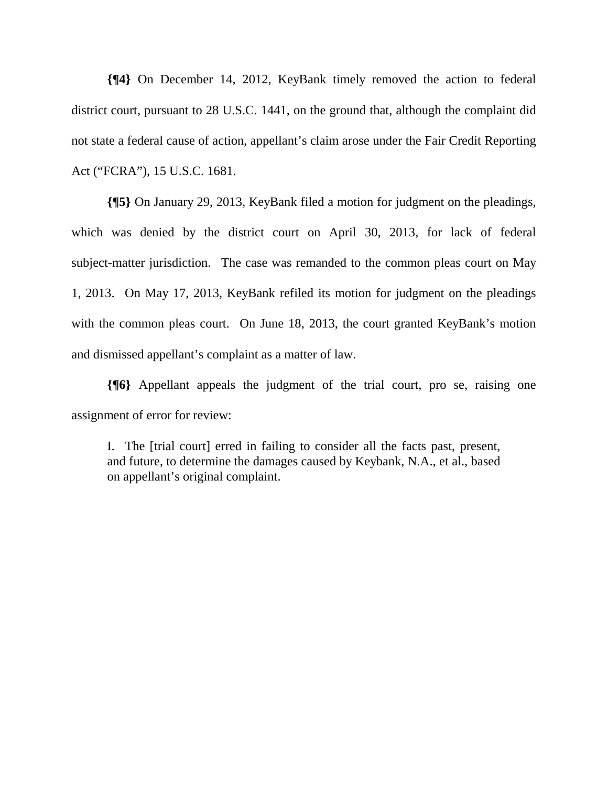**{¶4}** On December 14, 2012, KeyBank timely removed the action to federal district court, pursuant to 28 U.S.C. 1441, on the ground that, although the complaint did not state a federal cause of action, appellant's claim arose under the Fair Credit Reporting Act ("FCRA"), 15 U.S.C. 1681.

**{¶5}** On January 29, 2013, KeyBank filed a motion for judgment on the pleadings, which was denied by the district court on April 30, 2013, for lack of federal subject-matter jurisdiction. The case was remanded to the common pleas court on May 1, 2013. On May 17, 2013, KeyBank refiled its motion for judgment on the pleadings with the common pleas court. On June 18, 2013, the court granted KeyBank's motion and dismissed appellant's complaint as a matter of law.

**{¶6}** Appellant appeals the judgment of the trial court, pro se, raising one assignment of error for review:

I. The [trial court] erred in failing to consider all the facts past, present, and future, to determine the damages caused by Keybank, N.A., et al., based on appellant's original complaint.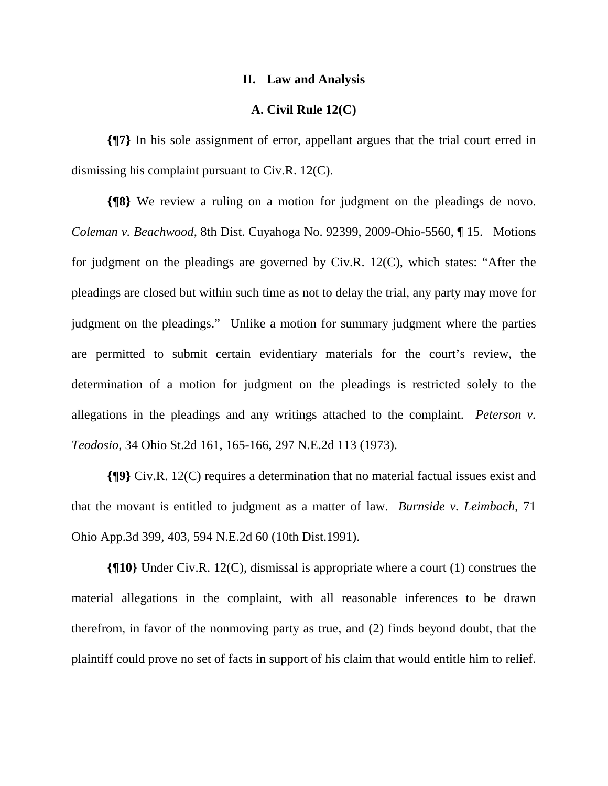#### **II. Law and Analysis**

#### **A. Civil Rule 12(C)**

**{¶7}** In his sole assignment of error, appellant argues that the trial court erred in dismissing his complaint pursuant to Civ.R. 12(C).

**{¶8}** We review a ruling on a motion for judgment on the pleadings de novo. *Coleman v. Beachwood*, 8th Dist. Cuyahoga No. 92399, 2009-Ohio-5560, ¶ 15. Motions for judgment on the pleadings are governed by Civ.R. 12(C), which states: "After the pleadings are closed but within such time as not to delay the trial, any party may move for judgment on the pleadings." Unlike a motion for summary judgment where the parties are permitted to submit certain evidentiary materials for the court's review, the determination of a motion for judgment on the pleadings is restricted solely to the allegations in the pleadings and any writings attached to the complaint. *Peterson v. Teodosio*, 34 Ohio St.2d 161, 165-166, 297 N.E.2d 113 (1973).

**{¶9}** Civ.R. 12(C) requires a determination that no material factual issues exist and that the movant is entitled to judgment as a matter of law. *Burnside v. Leimbach*, 71 Ohio App.3d 399, 403, 594 N.E.2d 60 (10th Dist.1991).

**{¶10}** Under Civ.R. 12(C), dismissal is appropriate where a court (1) construes the material allegations in the complaint, with all reasonable inferences to be drawn therefrom, in favor of the nonmoving party as true, and (2) finds beyond doubt, that the plaintiff could prove no set of facts in support of his claim that would entitle him to relief.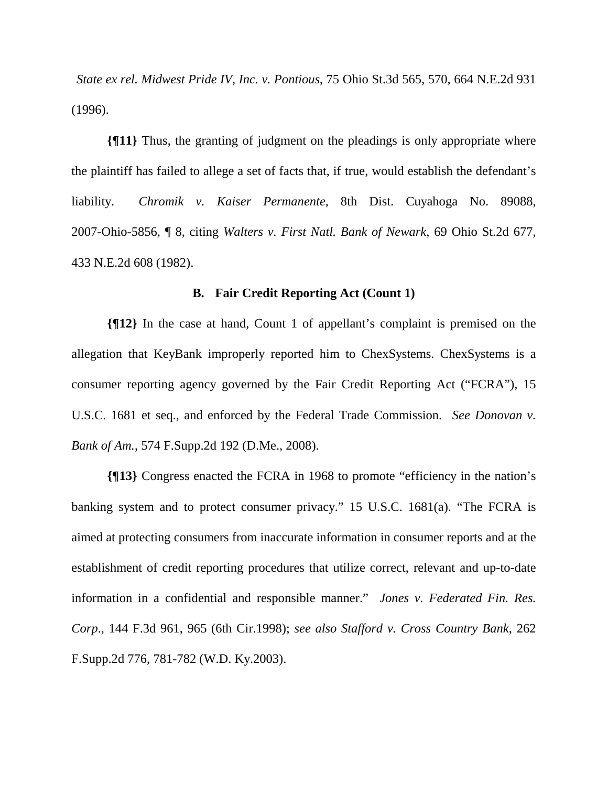*State ex rel. Midwest Pride IV, Inc. v. Pontious*, 75 Ohio St.3d 565, 570, 664 N.E.2d 931 (1996).

**{¶11}** Thus, the granting of judgment on the pleadings is only appropriate where the plaintiff has failed to allege a set of facts that, if true, would establish the defendant's liability. *Chromik v. Kaiser Permanente*, 8th Dist. Cuyahoga No. 89088, 2007-Ohio-5856, ¶ 8, citing *Walters v. First Natl. Bank of Newark*, 69 Ohio St.2d 677, 433 N.E.2d 608 (1982).

#### **B. Fair Credit Reporting Act (Count 1)**

**{¶12}** In the case at hand, Count 1 of appellant's complaint is premised on the allegation that KeyBank improperly reported him to ChexSystems. ChexSystems is a consumer reporting agency governed by the Fair Credit Reporting Act ("FCRA"), 15 U.S.C. 1681 et seq., and enforced by the Federal Trade Commission. *See Donovan v. Bank of Am.*, 574 F.Supp.2d 192 (D.Me., 2008).

**{¶13}** Congress enacted the FCRA in 1968 to promote "efficiency in the nation's banking system and to protect consumer privacy." 15 U.S.C. 1681(a). "The FCRA is aimed at protecting consumers from inaccurate information in consumer reports and at the establishment of credit reporting procedures that utilize correct, relevant and up-to-date information in a confidential and responsible manner." *Jones v. Federated Fin. Res. Corp*., 144 F.3d 961, 965 (6th Cir.1998); *see also Stafford v. Cross Country Bank*, 262 F.Supp.2d 776, 781-782 (W.D. Ky.2003).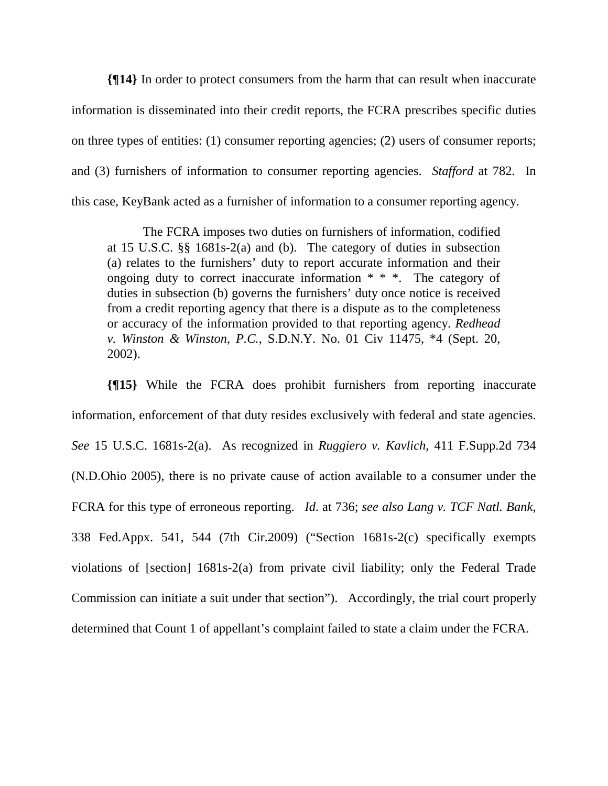**{¶14}** In order to protect consumers from the harm that can result when inaccurate information is disseminated into their credit reports, the FCRA prescribes specific duties on three types of entities: (1) consumer reporting agencies; (2) users of consumer reports; and (3) furnishers of information to consumer reporting agencies. *Stafford* at 782. In this case, KeyBank acted as a furnisher of information to a consumer reporting agency.

The FCRA imposes two duties on furnishers of information, codified at 15 U.S.C. §§ 1681s-2(a) and (b). The category of duties in subsection (a) relates to the furnishers' duty to report accurate information and their ongoing duty to correct inaccurate information \* \* \*. The category of duties in subsection (b) governs the furnishers' duty once notice is received from a credit reporting agency that there is a dispute as to the completeness or accuracy of the information provided to that reporting agency. *Redhead v. Winston & Winston, P.C.*, S.D.N.Y. No. 01 Civ 11475, \*4 (Sept. 20, 2002).

**{¶15}** While the FCRA does prohibit furnishers from reporting inaccurate information, enforcement of that duty resides exclusively with federal and state agencies. *See* 15 U.S.C. 1681s-2(a). As recognized in *Ruggiero v. Kavlich*, 411 F.Supp.2d 734 (N.D.Ohio 2005), there is no private cause of action available to a consumer under the FCRA for this type of erroneous reporting. *Id*. at 736; *see also Lang v. TCF Natl. Bank*, 338 Fed.Appx. 541, 544 (7th Cir.2009) ("Section 1681s-2(c) specifically exempts violations of [section] 1681s-2(a) from private civil liability; only the Federal Trade Commission can initiate a suit under that section"). Accordingly, the trial court properly determined that Count 1 of appellant's complaint failed to state a claim under the FCRA.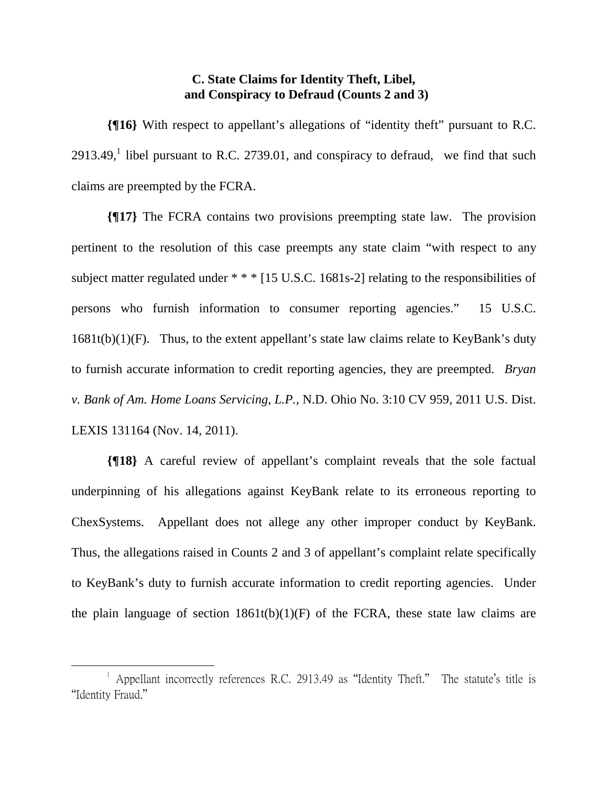## **C. State Claims for Identity Theft, Libel, and Conspiracy to Defraud (Counts 2 and 3)**

**{¶16}** With respect to appellant's allegations of "identity theft" pursuant to R.C. 2913.49,<sup>1</sup> libel pursuant to R.C. 2739.01, and conspiracy to defraud, we find that such claims are preempted by the FCRA.

**{¶17}** The FCRA contains two provisions preempting state law. The provision pertinent to the resolution of this case preempts any state claim "with respect to any subject matter regulated under \* \* \* [15 U.S.C. 1681s-2] relating to the responsibilities of persons who furnish information to consumer reporting agencies." 15 U.S.C.  $1681t(b)(1)(F)$ . Thus, to the extent appellant's state law claims relate to KeyBank's duty to furnish accurate information to credit reporting agencies, they are preempted. *Bryan v. Bank of Am. Home Loans Servicing, L.P.*, N.D. Ohio No. 3:10 CV 959, 2011 U.S. Dist. LEXIS 131164 (Nov. 14, 2011).

**{¶18}** A careful review of appellant's complaint reveals that the sole factual underpinning of his allegations against KeyBank relate to its erroneous reporting to ChexSystems. Appellant does not allege any other improper conduct by KeyBank. Thus, the allegations raised in Counts 2 and 3 of appellant's complaint relate specifically to KeyBank's duty to furnish accurate information to credit reporting agencies. Under the plain language of section  $1861t(b)(1)(F)$  of the FCRA, these state law claims are

1

<sup>&</sup>lt;sup>1</sup> Appellant incorrectly references R.C. 2913.49 as "Identity Theft." The statute's title is "Identity Fraud."